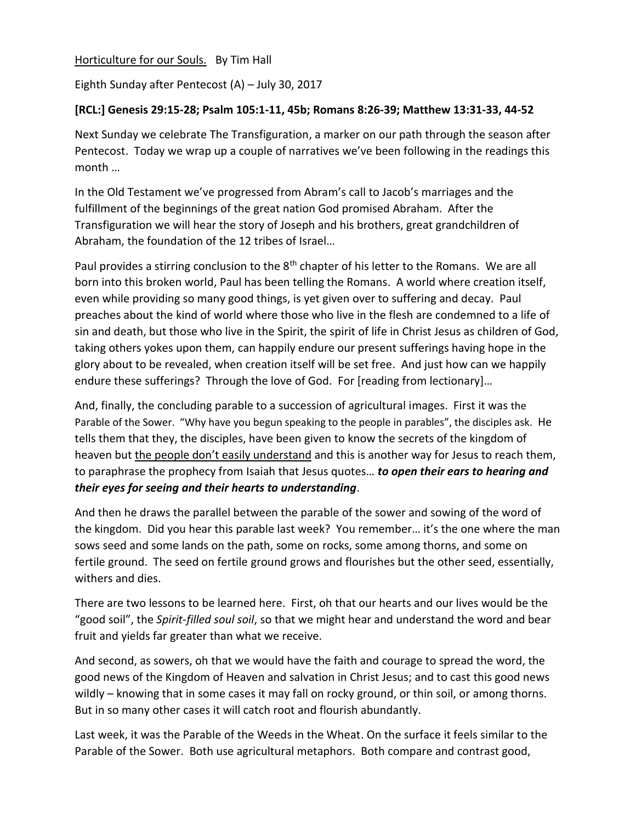Horticulture for our Souls. By Tim Hall

Eighth Sunday after Pentecost (A) – July 30, 2017

## **[RCL:] Genesis 29:15-28; Psalm 105:1-11, 45b; Romans 8:26-39; Matthew 13:31-33, 44-52**

Next Sunday we celebrate The Transfiguration, a marker on our path through the season after Pentecost. Today we wrap up a couple of narratives we've been following in the readings this month …

In the Old Testament we've progressed from Abram's call to Jacob's marriages and the fulfillment of the beginnings of the great nation God promised Abraham. After the Transfiguration we will hear the story of Joseph and his brothers, great grandchildren of Abraham, the foundation of the 12 tribes of Israel…

Paul provides a stirring conclusion to the 8<sup>th</sup> chapter of his letter to the Romans. We are all born into this broken world, Paul has been telling the Romans. A world where creation itself, even while providing so many good things, is yet given over to suffering and decay. Paul preaches about the kind of world where those who live in the flesh are condemned to a life of sin and death, but those who live in the Spirit, the spirit of life in Christ Jesus as children of God, taking others yokes upon them, can happily endure our present sufferings having hope in the glory about to be revealed, when creation itself will be set free. And just how can we happily endure these sufferings? Through the love of God. For [reading from lectionary]…

And, finally, the concluding parable to a succession of agricultural images. First it was the Parable of the Sower. "Why have you begun speaking to the people in parables", the disciples ask. He tells them that they, the disciples, have been given to know the secrets of the kingdom of heaven but the people don't easily understand and this is another way for Jesus to reach them, to paraphrase the prophecy from Isaiah that Jesus quotes… *to open their ears to hearing and their eyes for seeing and their hearts to understanding*.

And then he draws the parallel between the parable of the sower and sowing of the word of the kingdom. Did you hear this parable last week? You remember… it's the one where the man sows seed and some lands on the path, some on rocks, some among thorns, and some on fertile ground. The seed on fertile ground grows and flourishes but the other seed, essentially, withers and dies.

There are two lessons to be learned here. First, oh that our hearts and our lives would be the "good soil", the *Spirit-filled soul soil*, so that we might hear and understand the word and bear fruit and yields far greater than what we receive.

And second, as sowers, oh that we would have the faith and courage to spread the word, the good news of the Kingdom of Heaven and salvation in Christ Jesus; and to cast this good news wildly – knowing that in some cases it may fall on rocky ground, or thin soil, or among thorns. But in so many other cases it will catch root and flourish abundantly.

Last week, it was the Parable of the Weeds in the Wheat. On the surface it feels similar to the Parable of the Sower. Both use agricultural metaphors. Both compare and contrast good,